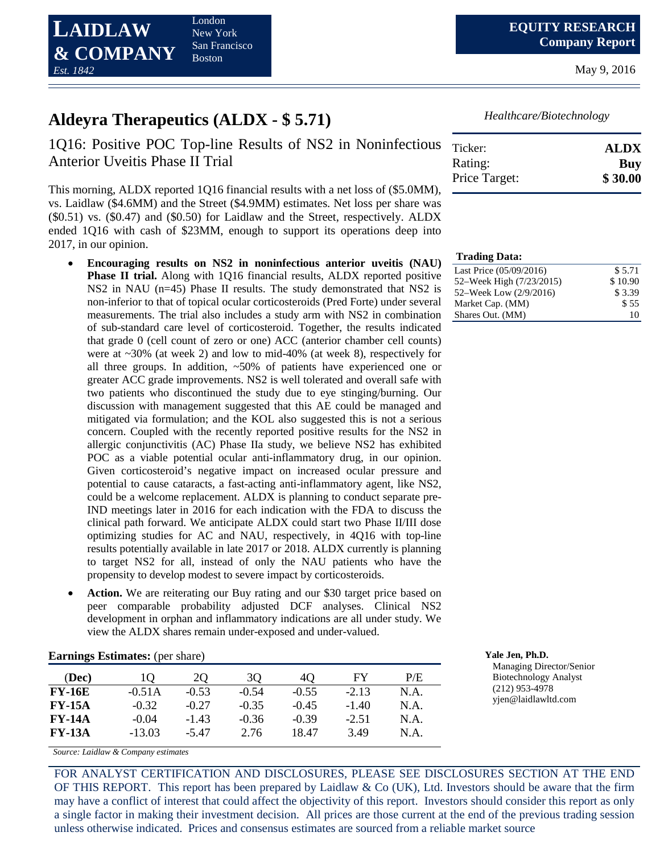**LAIDLAW & COMPANY** London New York San Francisco Boston

*Est. 1842*

May 9, 2016

# **Aldeyra Therapeutics (ALDX - \$ 5.71)**

1Q16: Positive POC Top-line Results of NS2 in Noninfectious Anterior Uveitis Phase II Trial

This morning, ALDX reported 1Q16 financial results with a net loss of (\$5.0MM), vs. Laidlaw (\$4.6MM) and the Street (\$4.9MM) estimates. Net loss per share was (\$0.51) vs. (\$0.47) and (\$0.50) for Laidlaw and the Street, respectively. ALDX ended 1Q16 with cash of \$23MM, enough to support its operations deep into 2017, in our opinion.

- **Encouraging results on NS2 in noninfectious anterior uveitis (NAU) Phase II trial.** Along with 1Q16 financial results, ALDX reported positive NS2 in NAU (n=45) Phase II results. The study demonstrated that NS2 is non-inferior to that of topical ocular corticosteroids (Pred Forte) under several measurements. The trial also includes a study arm with NS2 in combination of sub-standard care level of corticosteroid. Together, the results indicated that grade 0 (cell count of zero or one) ACC (anterior chamber cell counts) were at  $\sim$ 30% (at week 2) and low to mid-40% (at week 8), respectively for all three groups. In addition, ~50% of patients have experienced one or greater ACC grade improvements. NS2 is well tolerated and overall safe with two patients who discontinued the study due to eye stinging/burning. Our discussion with management suggested that this AE could be managed and mitigated via formulation; and the KOL also suggested this is not a serious concern. Coupled with the recently reported positive results for the NS2 in allergic conjunctivitis (AC) Phase IIa study, we believe NS2 has exhibited POC as a viable potential ocular anti-inflammatory drug, in our opinion. Given corticosteroid's negative impact on increased ocular pressure and potential to cause cataracts, a fast-acting anti-inflammatory agent, like NS2, could be a welcome replacement. ALDX is planning to conduct separate pre-IND meetings later in 2016 for each indication with the FDA to discuss the clinical path forward. We anticipate ALDX could start two Phase II/III dose optimizing studies for AC and NAU, respectively, in 4Q16 with top-line results potentially available in late 2017 or 2018. ALDX currently is planning to target NS2 for all, instead of only the NAU patients who have the propensity to develop modest to severe impact by corticosteroids.
- **Action.** We are reiterating our Buy rating and our \$30 target price based on peer comparable probability adjusted DCF analyses. Clinical NS2 development in orphan and inflammatory indications are all under study. We view the ALDX shares remain under-exposed and under-valued.

| 10       | 20      | 30      | 40      | FY      | P/E  |
|----------|---------|---------|---------|---------|------|
| $-0.51A$ | $-0.53$ | $-0.54$ | $-0.55$ | $-2.13$ | N.A. |
| $-0.32$  | $-0.27$ | $-0.35$ | $-0.45$ | $-1.40$ | N.A. |
| $-0.04$  | $-1.43$ | $-0.36$ | $-0.39$ | $-2.51$ | N.A. |
| $-13.03$ | $-5.47$ | 2.76    | 18.47   | 3.49    | N.A. |
|          |         |         |         |         |      |

*Source: Laidlaw & Company estimates*

FOR ANALYST CERTIFICATION AND DISCLOSURES, PLEASE SEE DISCLOSURES SECTION AT THE END OF THIS REPORT. This report has been prepared by Laidlaw & Co (UK), Ltd. Investors should be aware that the firm may have a conflict of interest that could affect the objectivity of this report. Investors should consider this report as only a single factor in making their investment decision. All prices are those current at the end of the previous trading session unless otherwise indicated. Prices and consensus estimates are sourced from a reliable market source

*Healthcare/Biotechnology*

| Ticker:       | <b>ALDX</b> |
|---------------|-------------|
| Rating:       | Buy         |
| Price Target: | \$30.00     |

| <b>Trading Data:</b>     |         |
|--------------------------|---------|
| Last Price (05/09/2016)  | \$5.71  |
| 52–Week High (7/23/2015) | \$10.90 |
| 52–Week Low (2/9/2016)   | \$3.39  |
| Market Cap. (MM)         | \$55    |
| Shares Out. (MM)         | 10      |

**Earnings Estimates:** (per share) *Yale Jen, Ph.D.* 

Managing Director/Senior Biotechnology Analyst (212) 953-4978 yjen@laidlawltd.com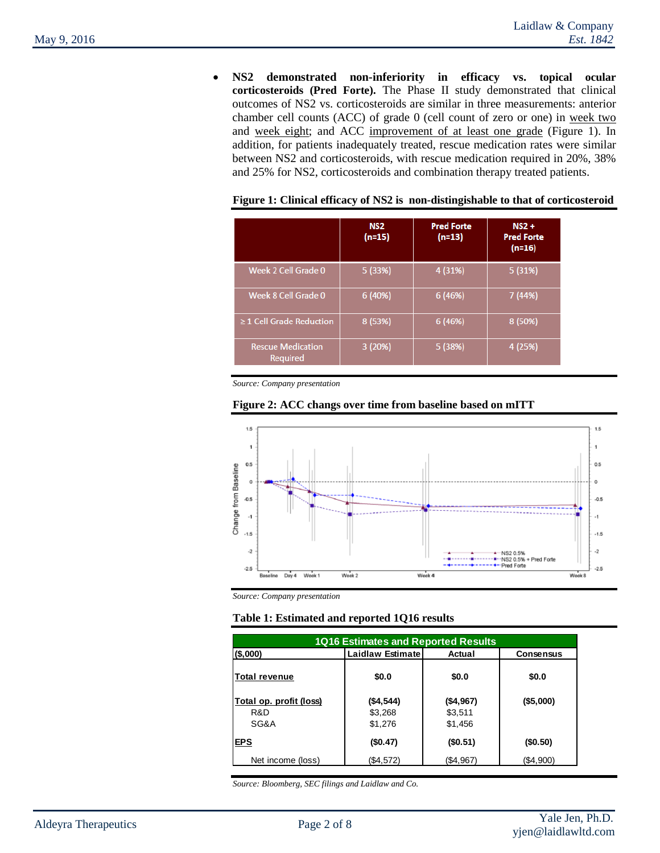• **NS2 demonstrated non-inferiority in efficacy vs. topical ocular corticosteroids (Pred Forte).** The Phase II study demonstrated that clinical outcomes of NS2 vs. corticosteroids are similar in three measurements: anterior chamber cell counts (ACC) of grade 0 (cell count of zero or one) in week two and week eight; and ACC improvement of at least one grade (Figure 1). In addition, for patients inadequately treated, rescue medication rates were similar between NS2 and corticosteroids, with rescue medication required in 20%, 38% and 25% for NS2, corticosteroids and combination therapy treated patients.

|                                      | NS <sub>2</sub><br>$(n=15)$ | <b>Pred Forte</b><br>$(n=13)$ | $NS2 +$<br><b>Pred Forte</b><br>$(n=16)$ |
|--------------------------------------|-----------------------------|-------------------------------|------------------------------------------|
| Week 2 Cell Grade 0                  | 5(33%)                      | 4(31%)                        | 5(31%)                                   |
| Week 8 Cell Grade 0                  | 6 (40%)                     | 6(46%)                        | 7 (44%)                                  |
| $\geq$ 1 Cell Grade Reduction        | 8 (53%)                     | 6(46%)                        | 8 (50%)                                  |
| <b>Rescue Medication</b><br>Required | 3(20%)                      | 5(38%)                        | 4 (25%)                                  |

### **Figure 1: Clinical efficacy of NS2 is non-distingishable to that of corticosteroid**

*Source: Company presentation*



#### **Figure 2: ACC changs over time from baseline based on mITT**

*Source: Company presentation*

#### **Table 1: Estimated and reported 1Q16 results**

| <b>1Q16 Estimates and Reported Results</b>     |                                 |                                 |           |  |  |  |
|------------------------------------------------|---------------------------------|---------------------------------|-----------|--|--|--|
| (\$,000)                                       | <b>Laidlaw Estimate</b>         | <b>Consensus</b>                |           |  |  |  |
| Total revenue                                  | \$0.0                           | \$0.0                           | \$0.0     |  |  |  |
| <u> Total op. profit (loss)</u><br>R&D<br>SG&A | (\$4,544)<br>\$3,268<br>\$1,276 | (\$4,967)<br>\$3,511<br>\$1,456 | (\$5,000) |  |  |  |
| <b>EPS</b>                                     | (\$0.47)                        | (\$0.51)                        | (\$0.50)  |  |  |  |
| Net income (loss)                              | $(\$4,572)$                     | (\$4,967)                       | (\$4,900) |  |  |  |

*Source: Bloomberg, SEC filings and Laidlaw and Co.*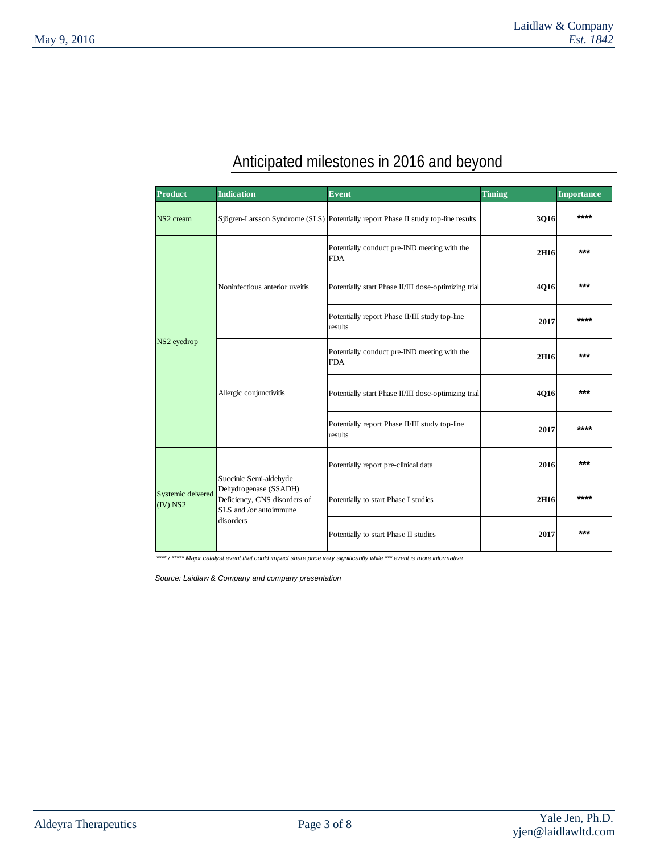# Anticipated milestones in 2016 and beyond

| <b>Product</b>                  | <b>Indication</b>                                                               | <b>Event</b>                                                                      | <b>Timing</b> | <b>Importance</b> |
|---------------------------------|---------------------------------------------------------------------------------|-----------------------------------------------------------------------------------|---------------|-------------------|
| NS <sub>2</sub> cream           |                                                                                 | Sjögren-Larsson Syndrome (SLS) Potentially report Phase II study top-line results | 3Q16          | ****              |
| NS2 eyedrop                     |                                                                                 | Potentially conduct pre-IND meeting with the<br><b>FDA</b>                        | 2H16          | ***               |
|                                 | Noninfectious anterior uveitis                                                  | Potentially start Phase II/III dose-optimizing trial                              | 4Q16          | ***               |
|                                 |                                                                                 | Potentially report Phase II/III study top-line<br>results                         | 2017          | ****              |
|                                 |                                                                                 | Potentially conduct pre-IND meeting with the<br><b>FDA</b>                        | 2H16          | ***               |
|                                 | Allergic conjunctivitis                                                         | Potentially start Phase II/III dose-optimizing trial                              | 4Q16          | ***               |
|                                 |                                                                                 | Potentially report Phase II/III study top-line<br>results                         | 2017          | ****              |
| Systemic delvered<br>$(IV)$ NS2 | Succinic Semi-aldehyde                                                          | Potentially report pre-clinical data                                              | 2016          | ***               |
|                                 | Dehydrogenase (SSADH)<br>Deficiency, CNS disorders of<br>SLS and /or autoimmune | Potentially to start Phase I studies                                              | 2H16          | ****              |
|                                 | disorders                                                                       | Potentially to start Phase II studies                                             | 2017          | ***               |

*\*\*\*\* / \*\*\*\*\* Major catalyst event that could impact share price very significantly while \*\*\* event is more informative* 

*Source: Laidlaw & Company and company presentation*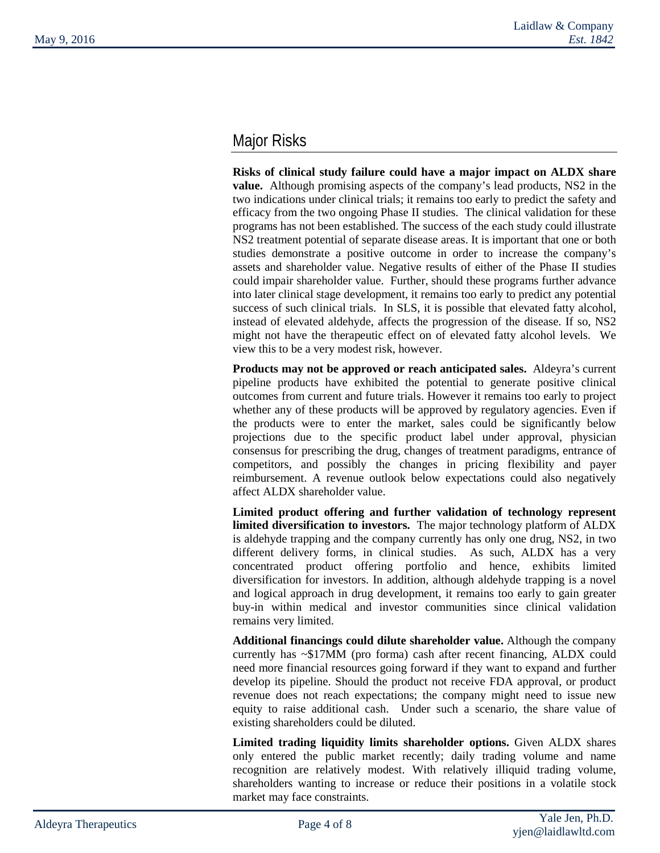# Major Risks

**Risks of clinical study failure could have a major impact on ALDX share value.** Although promising aspects of the company's lead products, NS2 in the two indications under clinical trials; it remains too early to predict the safety and efficacy from the two ongoing Phase II studies. The clinical validation for these programs has not been established. The success of the each study could illustrate NS2 treatment potential of separate disease areas. It is important that one or both studies demonstrate a positive outcome in order to increase the company's assets and shareholder value. Negative results of either of the Phase II studies could impair shareholder value. Further, should these programs further advance into later clinical stage development, it remains too early to predict any potential success of such clinical trials. In SLS, it is possible that elevated fatty alcohol, instead of elevated aldehyde, affects the progression of the disease. If so, NS2 might not have the therapeutic effect on of elevated fatty alcohol levels. We view this to be a very modest risk, however.

**Products may not be approved or reach anticipated sales.** Aldeyra's current pipeline products have exhibited the potential to generate positive clinical outcomes from current and future trials. However it remains too early to project whether any of these products will be approved by regulatory agencies. Even if the products were to enter the market, sales could be significantly below projections due to the specific product label under approval, physician consensus for prescribing the drug, changes of treatment paradigms, entrance of competitors, and possibly the changes in pricing flexibility and payer reimbursement. A revenue outlook below expectations could also negatively affect ALDX shareholder value.

**Limited product offering and further validation of technology represent limited diversification to investors.** The major technology platform of ALDX is aldehyde trapping and the company currently has only one drug, NS2, in two different delivery forms, in clinical studies. As such, ALDX has a very concentrated product offering portfolio and hence, exhibits limited diversification for investors. In addition, although aldehyde trapping is a novel and logical approach in drug development, it remains too early to gain greater buy-in within medical and investor communities since clinical validation remains very limited.

**Additional financings could dilute shareholder value.** Although the company currently has ~\$17MM (pro forma) cash after recent financing, ALDX could need more financial resources going forward if they want to expand and further develop its pipeline. Should the product not receive FDA approval, or product revenue does not reach expectations; the company might need to issue new equity to raise additional cash. Under such a scenario, the share value of existing shareholders could be diluted.

**Limited trading liquidity limits shareholder options.** Given ALDX shares only entered the public market recently; daily trading volume and name recognition are relatively modest. With relatively illiquid trading volume, shareholders wanting to increase or reduce their positions in a volatile stock market may face constraints.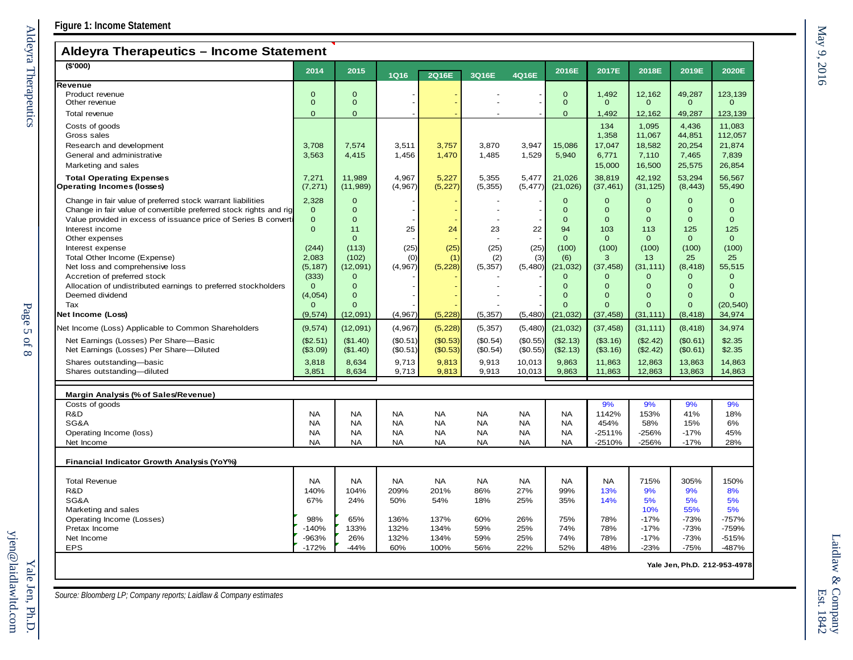# **Aldeyra Therapeutics – Income Statement**

| $A$ iusyla Therapeutics – income Statement                                                                                                                                                                             |                                                  |                                                           |                                            |                                           |                                           |                                                  |                                                    |                                                            |                                             |                                                          |                                                   |
|------------------------------------------------------------------------------------------------------------------------------------------------------------------------------------------------------------------------|--------------------------------------------------|-----------------------------------------------------------|--------------------------------------------|-------------------------------------------|-------------------------------------------|--------------------------------------------------|----------------------------------------------------|------------------------------------------------------------|---------------------------------------------|----------------------------------------------------------|---------------------------------------------------|
| (\$'000)                                                                                                                                                                                                               | 2014                                             | 2015                                                      | <b>1Q16</b>                                | 2Q16E                                     | 3Q16E                                     | 4Q16E                                            | 2016E                                              | 2017E                                                      | 2018E                                       | 2019E                                                    | 2020E                                             |
| Revenue<br>Product revenue<br>Other revenue                                                                                                                                                                            | $\mathbf{O}$<br>$\overline{0}$                   | $\overline{0}$<br>$\mathbf 0$                             |                                            |                                           |                                           |                                                  | $\mathbf 0$<br>$\mathbf 0$                         | 1,492<br>$\mathbf{O}$                                      | 12,162<br>$\mathbf{O}$                      | 49,287<br>$\mathbf{0}$                                   | 123,139<br>$\mathbf{0}$                           |
| Total revenue                                                                                                                                                                                                          | $\Omega$                                         | $\Omega$                                                  |                                            |                                           |                                           |                                                  | $\Omega$                                           | 1,492                                                      | 12,162                                      | 49,287                                                   | 123,139                                           |
| Costs of goods<br>Gross sales<br>Research and development                                                                                                                                                              | 3,708                                            | 7,574                                                     | 3,511                                      | 3,757                                     | 3,870                                     | 3,947                                            | 15,086                                             | 134<br>1,358<br>17,047                                     | 1,095<br>11,067<br>18,582                   | 4,436<br>44,851<br>20,254                                | 11,083<br>112,057<br>21,874                       |
| General and administrative<br>Marketing and sales                                                                                                                                                                      | 3,563                                            | 4,415                                                     | 1,456                                      | 1,470                                     | 1,485                                     | 1,529                                            | 5,940                                              | 6,771<br>15,000                                            | 7,110<br>16,500                             | 7,465<br>25,575                                          | 7,839<br>26,854                                   |
| <b>Total Operating Expenses</b><br>Operating Incomes (losses)                                                                                                                                                          | 7,271<br>(7, 271)                                | 11,989<br>(11, 989)                                       | 4,967<br>(4, 967)                          | 5,227<br>(5, 227)                         | 5,355<br>(5, 355)                         | 5,477<br>(5, 477)                                | 21,026<br>(21, 026)                                | 38,819<br>(37, 461)                                        | 42,192<br>(31, 125)                         | 53,294<br>(8, 443)                                       | 56,567<br>55,490                                  |
| Change in fair value of preferred stock warrant liabilities<br>Change in fair value of convertible preferred stock rights and rig<br>Value provided in excess of issuance price of Series B convert<br>Interest income | 2,328<br>$\mathbf 0$<br>$\mathbf 0$<br>$\Omega$  | $\mathbf 0$<br>$\overline{0}$<br>$\overline{0}$<br>11     | 25                                         | 24                                        | 23                                        | 22                                               | $\mathbf 0$<br>$\mathbf{O}$<br>$\mathbf{O}$<br>94  | $\mathbf 0$<br>$\overline{0}$<br>$\overline{0}$<br>103     | $\mathbf{O}$<br>$\Omega$<br>$\Omega$<br>113 | $\mathbf 0$<br>$\mathbf{0}$<br>$\mathbf{O}$<br>125       | $\Omega$<br>$\mathbf{0}$<br>$\mathbf{0}$<br>125   |
| Other expenses<br>Interest expense<br>Total Other Income (Expense)<br>Net loss and comprehensive loss                                                                                                                  | (244)<br>2.083<br>(5, 187)                       | $\overline{0}$<br>(113)<br>(102)<br>(12,091)              | (25)<br>(0)<br>(4, 967)                    | (25)<br>(1)<br>(5, 228)                   | (25)<br>(2)<br>(5, 357)                   | (25)<br>(3)<br>(5,480)                           | $\mathbf{O}$<br>(100)<br>(6)<br>(21, 032)          | $\mathbf{O}$<br>(100)<br>3<br>(37, 458)                    | $\mathbf{O}$<br>(100)<br>13<br>(31, 111)    | $\mathbf{O}$<br>(100)<br>25<br>(8, 418)                  | $\mathbf{O}$<br>(100)<br>25<br>55,515             |
| Accretion of preferred stock<br>Allocation of undistributed earnings to preferred stockholders<br>Deemed dividend<br>Tax                                                                                               | (333)<br>$\mathbf 0$<br>(4,054)<br>$\mathbf{0}$  | $\mathbf{O}$<br>$\overline{0}$<br>$\mathbf 0$<br>$\Omega$ |                                            |                                           |                                           |                                                  | $\mathbf 0$<br>$\mathbf 0$<br>$\Omega$<br>$\Omega$ | $\mathbf{O}$<br>$\overline{0}$<br>$\mathbf{O}$<br>$\Omega$ | $\mathbf{O}$<br>0<br>0<br>$\Omega$          | $\mathbf{O}$<br>$\mathbf{O}$<br>$\mathbf{O}$<br>$\Omega$ | $\mathbf{0}$<br>$\Omega$<br>$\Omega$<br>(20, 540) |
| Net Income (Loss)                                                                                                                                                                                                      | (9, 574)                                         | (12,091)                                                  | (4, 967)                                   | (5, 228)                                  | (5, 357)                                  | (5,480)                                          | (21, 032)                                          | (37, 458)                                                  | (31, 111)                                   | (8, 418)                                                 | 34,974                                            |
| Net Income (Loss) Applicable to Common Shareholders<br>Net Earnings (Losses) Per Share-Basic<br>Net Earnings (Losses) Per Share-Diluted                                                                                | (9, 574)<br>(\$2.51)<br>(\$3.09)                 | (12,091)<br>(\$1.40)<br>(\$1.40)                          | (4, 967)<br>(\$0.51)<br>(\$0.51)           | (5, 228)<br>(\$0.53)<br>(\$0.53)          | (5, 357)<br>(\$0.54)<br>(\$0.54)          | (5,480)<br>(\$0.55)<br>(\$0.55)                  | (21, 032)<br>(\$2.13)<br>(\$2.13)                  | (37, 458)<br>(\$3.16)<br>(\$3.16)                          | (31, 111)<br>(\$2.42)<br>(\$2.42)           | (8, 418)<br>(\$0.61)<br>(\$0.61)                         | 34,974<br>\$2.35<br>\$2.35                        |
| Shares outstanding-basic<br>Shares outstanding-diluted                                                                                                                                                                 | 3,818<br>3,851                                   | 8,634<br>8,634                                            | 9,713<br>9,713                             | 9,813<br>9,813                            | 9,913<br>9,913                            | 10,013<br>10,013                                 | 9,863<br>9,863                                     | 11,863<br>11,863                                           | 12,863<br>12,863                            | 13,863<br>13,863                                         | 14,863<br>14,863                                  |
| Margin Analysis (% of Sales/Revenue)                                                                                                                                                                                   |                                                  |                                                           |                                            |                                           |                                           |                                                  |                                                    |                                                            |                                             |                                                          |                                                   |
| Costs of goods<br>R&D<br>SG&A<br>Operating Income (loss)<br>Net Income                                                                                                                                                 | <b>NA</b><br><b>NA</b><br><b>NA</b><br><b>NA</b> | <b>NA</b><br><b>NA</b><br><b>NA</b><br><b>NA</b>          | NA.<br><b>NA</b><br><b>NA</b><br><b>NA</b> | NA<br><b>NA</b><br><b>NA</b><br><b>NA</b> | NA<br><b>NA</b><br><b>NA</b><br><b>NA</b> | <b>NA</b><br><b>NA</b><br><b>NA</b><br><b>NA</b> | <b>NA</b><br><b>NA</b><br><b>NA</b><br><b>NA</b>   | 9%<br>1142%<br>454%<br>$-2511%$<br>$-2510%$                | 9%<br>153%<br>58%<br>$-256%$<br>$-256%$     | 9%<br>41%<br>15%<br>$-17%$<br>$-17%$                     | 9%<br>18%<br>6%<br>45%<br>28%                     |
| Financial Indicator Growth Analysis (YoY%)                                                                                                                                                                             |                                                  |                                                           |                                            |                                           |                                           |                                                  |                                                    |                                                            |                                             |                                                          |                                                   |
| <b>Total Revenue</b><br>R&D<br>SG&A<br>Marketing and sales                                                                                                                                                             | <b>NA</b><br>140%<br>67%                         | <b>NA</b><br>104%<br>24%                                  | <b>NA</b><br>209%<br>50%                   | <b>NA</b><br>201%<br>54%                  | <b>NA</b><br>86%<br>18%                   | <b>NA</b><br>27%<br>25%                          | <b>NA</b><br>99%<br>35%                            | <b>NA</b><br>13%<br>14%                                    | 715%<br>9%<br>5%<br>10%                     | 305%<br>9%<br>5%<br>55%                                  | 150%<br>8%<br>5%<br>5%                            |
| Operating Income (Losses)<br>Pretax Income<br>Net Income                                                                                                                                                               | 98%<br>$-140%$<br>-963%                          | 65%<br>133%<br>26%                                        | 136%<br>132%<br>132%                       | 137%<br>134%<br>134%                      | 60%<br>59%<br>59%                         | 26%<br>25%<br>25%                                | 75%<br>74%<br>74%                                  | 78%<br>78%<br>78%                                          | $-17%$<br>$-17%$<br>$-17%$                  | $-73%$<br>$-73%$<br>$-73%$                               | $-757%$<br>-759%<br>$-515%$                       |
| <b>EPS</b>                                                                                                                                                                                                             | $-172%$                                          | $-44%$                                                    | 60%                                        | 100%                                      | 56%                                       | 22%                                              | 52%                                                | 48%                                                        | $-23%$                                      | $-75%$                                                   | $-487%$                                           |

**Yale Jen, Ph.D. 212-953-4978**

*Source: Bloomberg LP; Company reports; Laidlaw & Company estimates*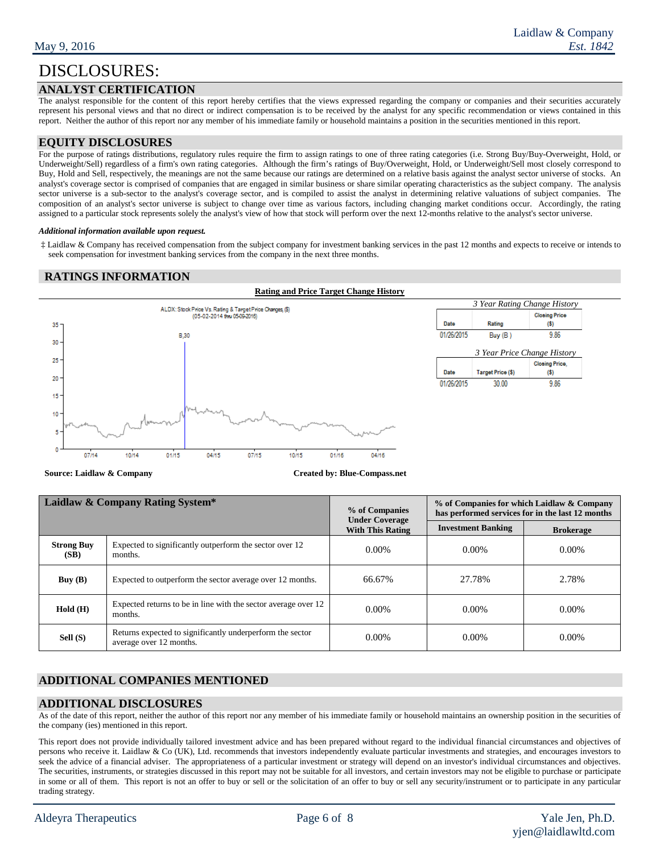# **ANALYST CERTIFICATION**

The analyst responsible for the content of this report hereby certifies that the views expressed regarding the company or companies and their securities accurately represent his personal views and that no direct or indirect compensation is to be received by the analyst for any specific recommendation or views contained in this report. Neither the author of this report nor any member of his immediate family or household maintains a position in the securities mentioned in this report.

## **EQUITY DISCLOSURES**

For the purpose of ratings distributions, regulatory rules require the firm to assign ratings to one of three rating categories (i.e. Strong Buy/Buy-Overweight, Hold, or Underweight/Sell) regardless of a firm's own rating categories. Although the firm's ratings of Buy/Overweight, Hold, or Underweight/Sell most closely correspond to Buy, Hold and Sell, respectively, the meanings are not the same because our ratings are determined on a relative basis against the analyst sector universe of stocks. An analyst's coverage sector is comprised of companies that are engaged in similar business or share similar operating characteristics as the subject company. The analysis sector universe is a sub-sector to the analyst's coverage sector, and is compiled to assist the analyst in determining relative valuations of subject companies. The composition of an analyst's sector universe is subject to change over time as various factors, including changing market conditions occur. Accordingly, the rating assigned to a particular stock represents solely the analyst's view of how that stock will perform over the next 12-months relative to the analyst's sector universe.

#### *Additional information available upon request.*

‡ Laidlaw & Company has received compensation from the subject company for investment banking services in the past 12 months and expects to receive or intends to seek compensation for investment banking services from the company in the next three months.

# **RATINGS INFORMATION**



**Source: Laidlaw & Company Created by: Blue-Compass.net**

| Laidlaw & Company Rating System* |                                                                                      | % of Companies<br><b>Under Coverage</b> | % of Companies for which Laidlaw & Company<br>has performed services for in the last 12 months |                  |  |
|----------------------------------|--------------------------------------------------------------------------------------|-----------------------------------------|------------------------------------------------------------------------------------------------|------------------|--|
|                                  |                                                                                      | <b>With This Rating</b>                 | <b>Investment Banking</b>                                                                      | <b>Brokerage</b> |  |
| <b>Strong Buy</b><br>(SB)        | Expected to significantly outperform the sector over 12<br>months.                   | $0.00\%$                                | $0.00\%$                                                                                       | $0.00\%$         |  |
| Buy(B)                           | Expected to outperform the sector average over 12 months.                            | 66.67%                                  | 27.78%                                                                                         | 2.78%            |  |
| Hold(H)                          | Expected returns to be in line with the sector average over 12<br>months.            | $0.00\%$                                | $0.00\%$                                                                                       | $0.00\%$         |  |
| Sell (S)                         | Returns expected to significantly underperform the sector<br>average over 12 months. | $0.00\%$                                | $0.00\%$                                                                                       | $0.00\%$         |  |

# **ADDITIONAL COMPANIES MENTIONED**

## **ADDITIONAL DISCLOSURES**

As of the date of this report, neither the author of this report nor any member of his immediate family or household maintains an ownership position in the securities of the company (ies) mentioned in this report.

This report does not provide individually tailored investment advice and has been prepared without regard to the individual financial circumstances and objectives of persons who receive it. Laidlaw & Co (UK), Ltd. recommends that investors independently evaluate particular investments and strategies, and encourages investors to seek the advice of a financial adviser. The appropriateness of a particular investment or strategy will depend on an investor's individual circumstances and objectives. The securities, instruments, or strategies discussed in this report may not be suitable for all investors, and certain investors may not be eligible to purchase or participate in some or all of them. This report is not an offer to buy or sell or the solicitation of an offer to buy or sell any security/instrument or to participate in any particular trading strategy.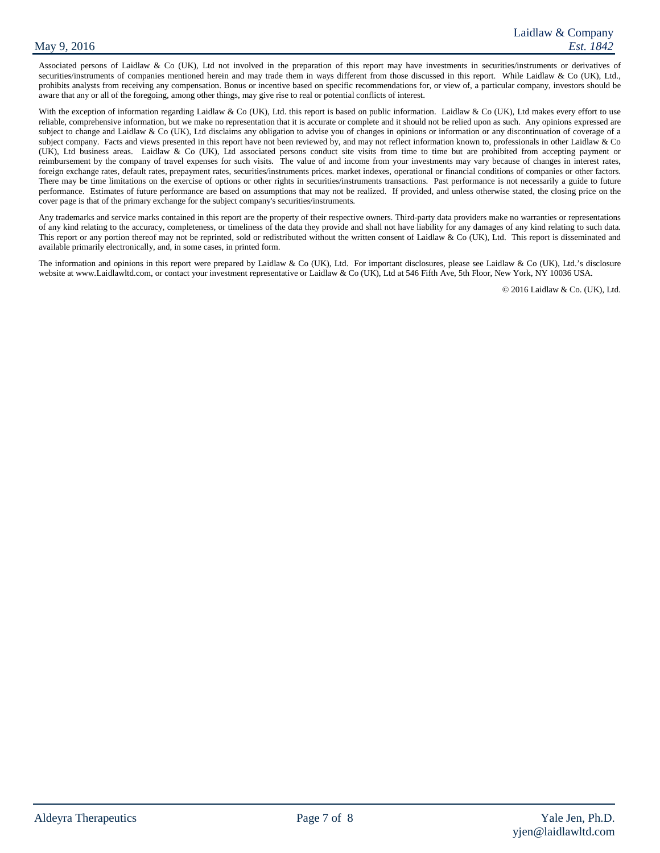Associated persons of Laidlaw & Co (UK), Ltd not involved in the preparation of this report may have investments in securities/instruments or derivatives of securities/instruments of companies mentioned herein and may trade them in ways different from those discussed in this report. While Laidlaw & Co (UK), Ltd., prohibits analysts from receiving any compensation. Bonus or incentive based on specific recommendations for, or view of, a particular company, investors should be aware that any or all of the foregoing, among other things, may give rise to real or potential conflicts of interest.

With the exception of information regarding Laidlaw & Co (UK), Ltd. this report is based on public information. Laidlaw & Co (UK), Ltd makes every effort to use reliable, comprehensive information, but we make no representation that it is accurate or complete and it should not be relied upon as such. Any opinions expressed are subject to change and Laidlaw & Co (UK), Ltd disclaims any obligation to advise you of changes in opinions or information or any discontinuation of coverage of a subject company. Facts and views presented in this report have not been reviewed by, and may not reflect information known to, professionals in other Laidlaw & Co (UK), Ltd business areas. Laidlaw & Co (UK), Ltd associated persons conduct site visits from time to time but are prohibited from accepting payment or reimbursement by the company of travel expenses for such visits. The value of and income from your investments may vary because of changes in interest rates, foreign exchange rates, default rates, prepayment rates, securities/instruments prices. market indexes, operational or financial conditions of companies or other factors. There may be time limitations on the exercise of options or other rights in securities/instruments transactions. Past performance is not necessarily a guide to future performance. Estimates of future performance are based on assumptions that may not be realized. If provided, and unless otherwise stated, the closing price on the cover page is that of the primary exchange for the subject company's securities/instruments.

Any trademarks and service marks contained in this report are the property of their respective owners. Third-party data providers make no warranties or representations of any kind relating to the accuracy, completeness, or timeliness of the data they provide and shall not have liability for any damages of any kind relating to such data. This report or any portion thereof may not be reprinted, sold or redistributed without the written consent of Laidlaw & Co (UK), Ltd. This report is disseminated and available primarily electronically, and, in some cases, in printed form.

The information and opinions in this report were prepared by Laidlaw & Co (UK), Ltd. For important disclosures, please see Laidlaw & Co (UK), Ltd.'s disclosure website at www.Laidlawltd.com, or contact your investment representative or Laidlaw & Co (UK), Ltd at 546 Fifth Ave, 5th Floor, New York, NY 10036 USA.

© 2016 Laidlaw & Co. (UK), Ltd.